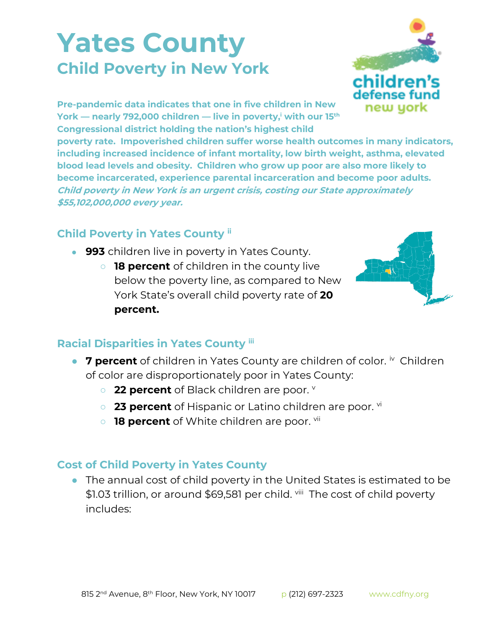## **Yates County Child Poverty in New York**



**Pre-pandemic data indicates that one in five children in New York — nearly 792,000 children — live in poverty,<sup>i</sup> with our 15th Congressional district holding the nation's highest child** 

**poverty rate. Impoverished children suffer worse health outcomes in many indicators, including increased incidence of infant mortality, low birth weight, asthma, elevated blood lead levels and obesity. Children who grow up poor are also more likely to become incarcerated, experience parental incarceration and become poor adults. Child poverty in New York is an urgent crisis, costing our State approximately \$55,102,000,000 every year.**

## **Child Poverty in Yates County ii**

- 993 children live in poverty in Yates County.
	- **18 percent** of children in the county live below the poverty line, as compared to New York State's overall child poverty rate of **20 percent.**



## **Racial Disparities in Yates County iii**

- 7 percent of children in Yates County are children of color. <sup>iv</sup> Children of color are disproportionately poor in Yates County:
	- **22 percent** of Black children are poor. **v**
	- **23 percent** of Hispanic or Latino children are poor. <sup>vi</sup>
	- **18 percent** of White children are poor. <sup>vii</sup>

## **Cost of Child Poverty in Yates County**

● The annual cost of child poverty in the United States is estimated to be \$1.03 trillion, or around \$69,581 per child. <sup>viii</sup> The cost of child poverty includes: